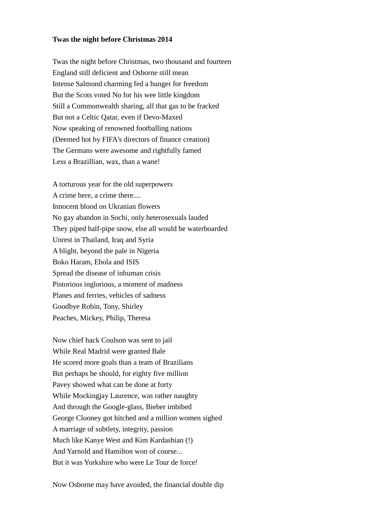## **Twas the night before Christmas 2014**

Twas the night before Christmas, two thousand and fourteen England still deficient and Osborne still mean Intense Salmond charming fed a hunger for freedom But the Scots voted No for his wee little kingdom Still a Commonwealth sharing, all that gas to be fracked But not a Celtic Qatar, even if Devo-Maxed Now speaking of renowned footballing nations (Deemed hot by FIFA's directors of finance creation) The Germans were awesome and rightfully famed Less a Brazillian, wax, than a wane!

A torturous year for the old superpowers A crime here, a crime there.... Innocent blood on Ukranian flowers No gay abandon in Sochi, only heterosexuals lauded They piped half-pipe snow, else all would be waterboarded Unrest in Thailand, Iraq and Syria A blight, beyond the pale in Nigeria Boko Haram, Ebola and ISIS Spread the disease of inhuman crisis Pistorious inglorious, a moment of madness Planes and ferries, vehicles of sadness Goodbye Robin, Tony, Shirley Peaches, Mickey, Philip, Theresa

Now chief hack Coulson was sent to jail While Real Madrid were granted Bale He scored more goals than a team of Brazilians But perhaps he should, for eighty five million Pavey showed what can be done at forty While Mockingjay Laurence, was rather naughty And through the Google-glass, Bieber imbibed George Clooney got hitched and a million women sighed A marriage of subtlety, integrity, passion Much like Kanye West and Kim Kardashian (!) And Yarnold and Hamilton won of course... But it was Yorkshire who were Le Tour de force!

Now Osborne may have avoided, the financial double dip